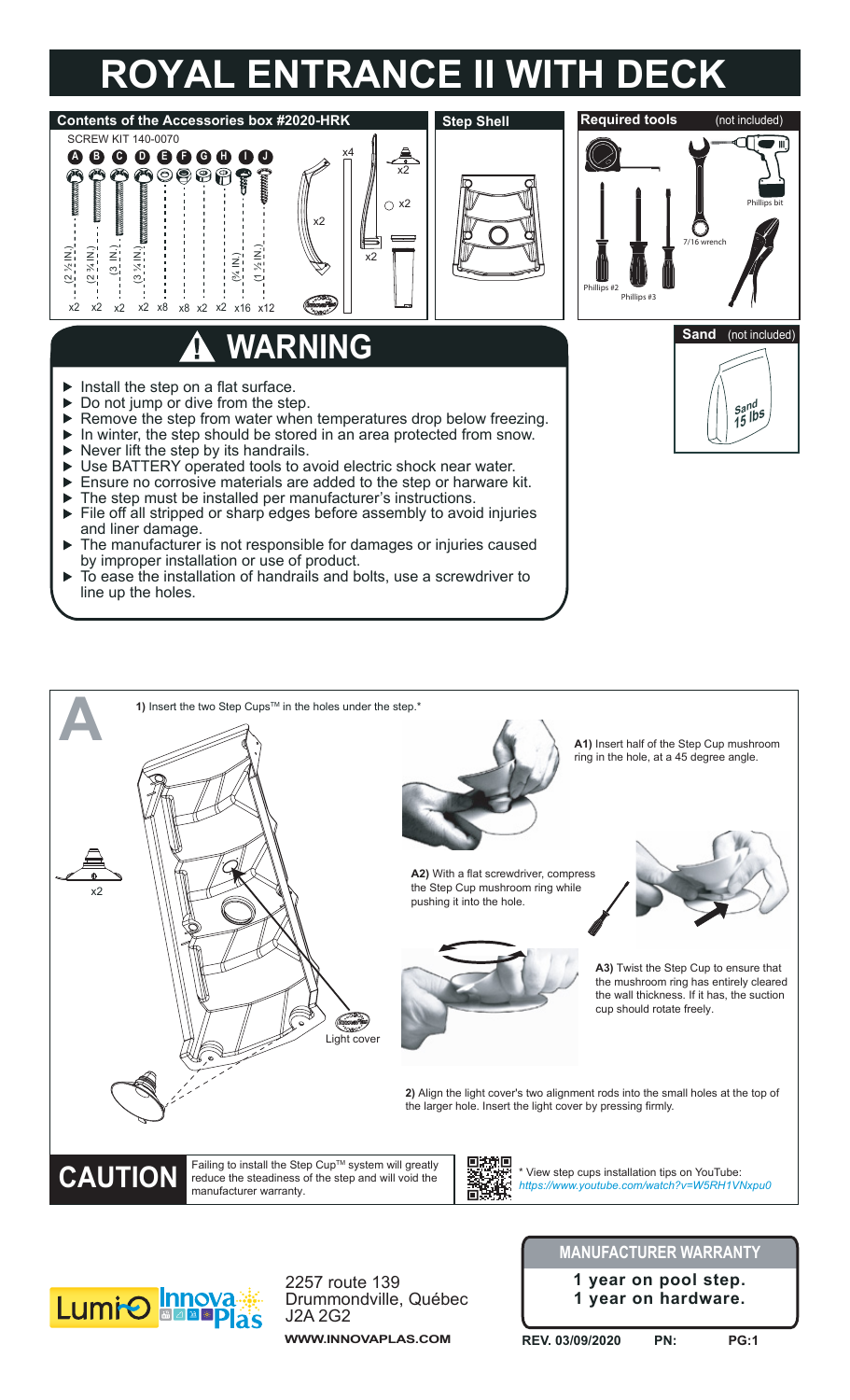## **ROYAL ENTRANCE II WITH DECK**





Drummondville, Québec J2A 2G2 **WWW.INNOVAPLAS.COM**

**1 year on hardware.**

**REV. 03/09/2020 PN: PG:1**